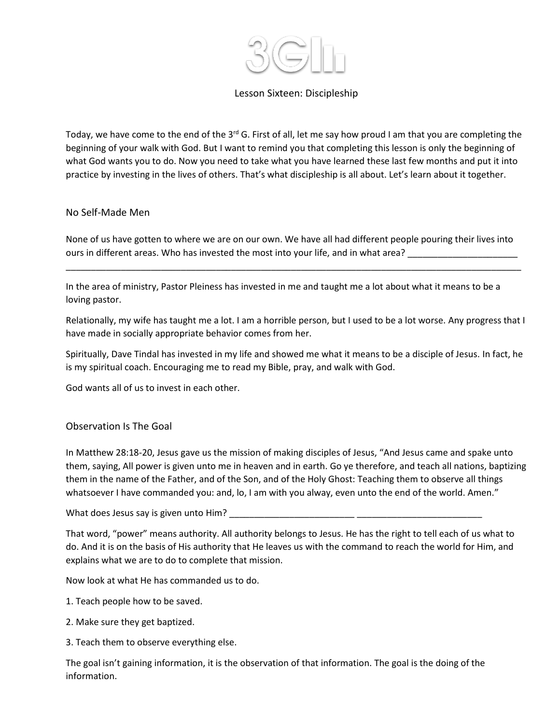

## Lesson Sixteen: Discipleship

Today, we have come to the end of the 3<sup>rd</sup> G. First of all, let me say how proud I am that you are completing the beginning of your walk with God. But I want to remind you that completing this lesson is only the beginning of what God wants you to do. Now you need to take what you have learned these last few months and put it into practice by investing in the lives of others. That's what discipleship is all about. Let's learn about it together.

### No Self-Made Men

None of us have gotten to where we are on our own. We have all had different people pouring their lives into ours in different areas. Who has invested the most into your life, and in what area?

\_\_\_\_\_\_\_\_\_\_\_\_\_\_\_\_\_\_\_\_\_\_\_\_\_\_\_\_\_\_\_\_\_\_\_\_\_\_\_\_\_\_\_\_\_\_\_\_\_\_\_\_\_\_\_\_\_\_\_\_\_\_\_\_\_\_\_\_\_\_\_\_\_\_\_\_\_\_\_\_\_\_\_\_\_\_\_\_\_\_\_

In the area of ministry, Pastor Pleiness has invested in me and taught me a lot about what it means to be a loving pastor.

Relationally, my wife has taught me a lot. I am a horrible person, but I used to be a lot worse. Any progress that I have made in socially appropriate behavior comes from her.

Spiritually, Dave Tindal has invested in my life and showed me what it means to be a disciple of Jesus. In fact, he is my spiritual coach. Encouraging me to read my Bible, pray, and walk with God.

God wants all of us to invest in each other.

### Observation Is The Goal

In Matthew 28:18-20, Jesus gave us the mission of making disciples of Jesus, "And Jesus came and spake unto them, saying, All power is given unto me in heaven and in earth. Go ye therefore, and teach all nations, baptizing them in the name of the Father, and of the Son, and of the Holy Ghost: Teaching them to observe all things whatsoever I have commanded you: and, lo, I am with you alway, even unto the end of the world. Amen."

What does Jesus say is given unto Him?

That word, "power" means authority. All authority belongs to Jesus. He has the right to tell each of us what to do. And it is on the basis of His authority that He leaves us with the command to reach the world for Him, and explains what we are to do to complete that mission.

Now look at what He has commanded us to do.

- 1. Teach people how to be saved.
- 2. Make sure they get baptized.
- 3. Teach them to observe everything else.

The goal isn't gaining information, it is the observation of that information. The goal is the doing of the information.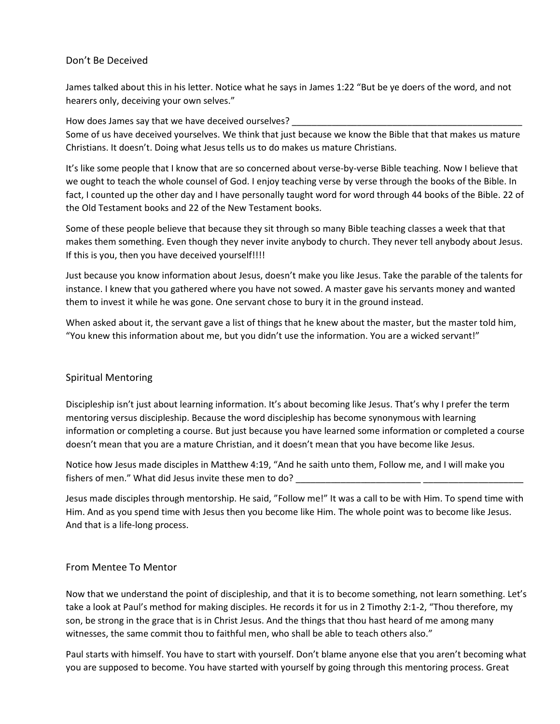### Don't Be Deceived

James talked about this in his letter. Notice what he says in James 1:22 "But be ye doers of the word, and not hearers only, deceiving your own selves."

How does James say that we have deceived ourselves? \_\_\_\_\_\_\_\_\_\_\_\_\_\_\_\_\_\_\_\_\_\_\_\_\_\_\_\_

Some of us have deceived yourselves. We think that just because we know the Bible that that makes us mature Christians. It doesn't. Doing what Jesus tells us to do makes us mature Christians.

It's like some people that I know that are so concerned about verse-by-verse Bible teaching. Now I believe that we ought to teach the whole counsel of God. I enjoy teaching verse by verse through the books of the Bible. In fact, I counted up the other day and I have personally taught word for word through 44 books of the Bible. 22 of the Old Testament books and 22 of the New Testament books.

Some of these people believe that because they sit through so many Bible teaching classes a week that that makes them something. Even though they never invite anybody to church. They never tell anybody about Jesus. If this is you, then you have deceived yourself!!!!

Just because you know information about Jesus, doesn't make you like Jesus. Take the parable of the talents for instance. I knew that you gathered where you have not sowed. A master gave his servants money and wanted them to invest it while he was gone. One servant chose to bury it in the ground instead.

When asked about it, the servant gave a list of things that he knew about the master, but the master told him, "You knew this information about me, but you didn't use the information. You are a wicked servant!"

# Spiritual Mentoring

Discipleship isn't just about learning information. It's about becoming like Jesus. That's why I prefer the term mentoring versus discipleship. Because the word discipleship has become synonymous with learning information or completing a course. But just because you have learned some information or completed a course doesn't mean that you are a mature Christian, and it doesn't mean that you have become like Jesus.

Notice how Jesus made disciples in Matthew 4:19, "And he saith unto them, Follow me, and I will make you fishers of men." What did Jesus invite these men to do?

Jesus made disciples through mentorship. He said, "Follow me!" It was a call to be with Him. To spend time with Him. And as you spend time with Jesus then you become like Him. The whole point was to become like Jesus. And that is a life-long process.

### From Mentee To Mentor

Now that we understand the point of discipleship, and that it is to become something, not learn something. Let's take a look at Paul's method for making disciples. He records it for us in 2 Timothy 2:1-2, "Thou therefore, my son, be strong in the grace that is in Christ Jesus. And the things that thou hast heard of me among many witnesses, the same commit thou to faithful men, who shall be able to teach others also."

Paul starts with himself. You have to start with yourself. Don't blame anyone else that you aren't becoming what you are supposed to become. You have started with yourself by going through this mentoring process. Great